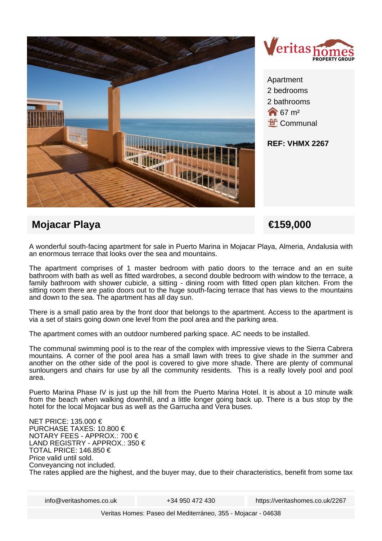



2 bathrooms  $\bigotimes$  67 m<sup>2</sup> **Lef** Communal

**REF: VHMX 2267**

# **Mojacar Playa €159,000**

A wonderful south-facing apartment for sale in Puerto Marina in Mojacar Playa, Almeria, Andalusia with an enormous terrace that looks over the sea and mountains.

The apartment comprises of 1 master bedroom with patio doors to the terrace and an en suite bathroom with bath as well as fitted wardrobes, a second double bedroom with window to the terrace, a family bathroom with shower cubicle, a sitting - dining room with fitted open plan kitchen. From the sitting room there are patio doors out to the huge south-facing terrace that has views to the mountains and down to the sea. The apartment has all day sun.

There is a small patio area by the front door that belongs to the apartment. Access to the apartment is via a set of stairs going down one level from the pool area and the parking area.

The apartment comes with an outdoor numbered parking space. AC needs to be installed.

The communal swimming pool is to the rear of the complex with impressive views to the Sierra Cabrera mountains. A corner of the pool area has a small lawn with trees to give shade in the summer and another on the other side of the pool is covered to give more shade. There are plenty of communal sunloungers and chairs for use by all the community residents. This is a really lovely pool and pool area.

Puerto Marina Phase IV is just up the hill from the Puerto Marina Hotel. It is about a 10 minute walk from the beach when walking downhill, and a little longer going back up. There is a bus stop by the hotel for the local Mojacar bus as well as the Garrucha and Vera buses.

NET PRICE: 135.000 € PURCHASE TAXES: 10.800 € NOTARY FEES - APPROX.: 700 € LAND REGISTRY - APPROX.: 350 € TOTAL PRICE: 146.850 € Price valid until sold. Conveyancing not included. The rates applied are the highest, and the buyer may, due to their characteristics, benefit from some tax

info@veritashomes.co.uk +34 950 472 430 https://veritashomes.co.uk/2267

Veritas Homes: Paseo del Mediterráneo, 355 - Mojacar - 04638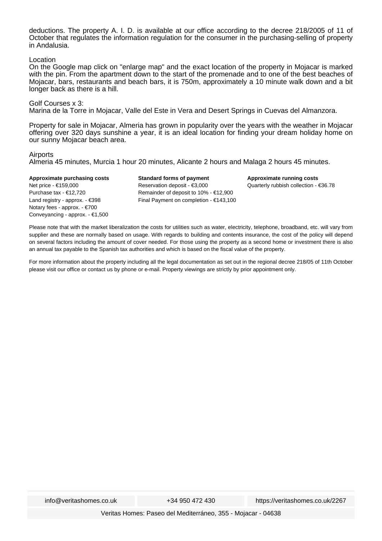deductions. The property A. I. D. is available at our office according to the decree 218/2005 of 11 of October that regulates the information regulation for the consumer in the purchasing-selling of property in Andalusia.

### Location

On the Google map click on "enlarge map" and the exact location of the property in Mojacar is marked with the pin. From the apartment down to the start of the promenade and to one of the best beaches of Mojacar, bars, restaurants and beach bars, it is 750m, approximately a 10 minute walk down and a bit longer back as there is a hill.

### Golf Courses x 3:

Marina de la Torre in Mojacar, Valle del Este in Vera and Desert Springs in Cuevas del Almanzora.

Property for sale in Mojacar, Almeria has grown in popularity over the years with the weather in Mojacar offering over 320 days sunshine a year, it is an ideal location for finding your dream holiday home on our sunny Mojacar beach area.

#### Airports

Almeria 45 minutes, Murcia 1 hour 20 minutes, Alicante 2 hours and Malaga 2 hours 45 minutes.

**Approximate purchasing costs** Net price - €159,000 Purchase tax - €12,720 Land registry - approx. - €398 Notary fees - approx. - €700 Conveyancing - approx. - €1,500

**Standard forms of payment** Reservation deposit - €3,000 Remainder of deposit to 10% - €12,900 Final Payment on completion - €143,100 **Approximate running costs** Quarterly rubbish collection - €36.78

Please note that with the market liberalization the costs for utilities such as water, electricity, telephone, broadband, etc. will vary from supplier and these are normally based on usage. With regards to building and contents insurance, the cost of the policy will depend on several factors including the amount of cover needed. For those using the property as a second home or investment there is also an annual tax payable to the Spanish tax authorities and which is based on the fiscal value of the property.

For more information about the property including all the legal documentation as set out in the regional decree 218/05 of 11th October please visit our office or contact us by phone or e-mail. Property viewings are strictly by prior appointment only.